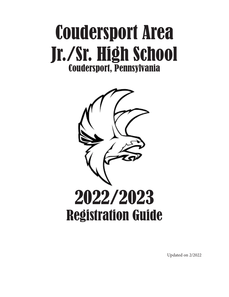# Coudersport Area Jr./Sr. High School Coudersport, Pennsylvania



Updated on 2/2022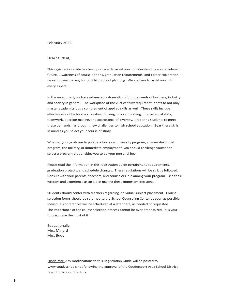# February 2022

### Dear Student,

This registration guide has been prepared to assist you in understanding your academic future. Awareness of course options, graduation requirements, and career exploration serve to pave the way for post high school planning. We are here to assist you with every aspect.

In the recent past, we have witnessed a dramatic shift in the needs of business, industry and society in general. The workplace of the 21st century requires students to not only master academics but a complement of applied skills as well. These skills include effective use of technology, creative thinking, problem solving, interpersonal skills, teamwork, decision making, and acceptance of diversity. Preparing students to meet these demands has brought new challenges to high school education. Bear these skills in mind as you select your course of study.

Whether your goals are to pursue a four year university program, a career-technical program, the military, or immediate employment, you should challenge yourself to select a program that enables you to be your personal best.

Please read the information in this registration guide pertaining to requirements, graduation projects, and schedule changes. These regulations will be strictly followed. Consult with your parents, teachers, and counselors in planning your program. Use their wisdom and experience as an aid in making these important decisions.

Students should confer with teachers regarding individual subject placement. Course selection forms should be returned to the School Counseling Center as soon as possible. Individual conferences will be scheduled at a later date, as needed or requested. The importance of the course selection process cannot be over-emphasized. It is your future; make the most of it!

Educationally, Mrs. Minard Mrs. Budd

Disclaimer: Any modifications to this Registration Guide will be posted to www.coudyschools.net following the approval of the Coudersport Area School District Board of School Directors.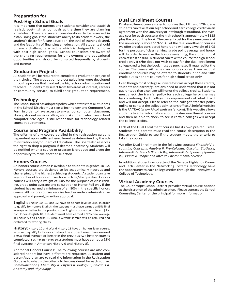# **Preparation for**

# **Post-High School Goals**

It is important that parents and students consider and establish realistic post-high school goals at the time they are planning schedules. There are several considerations to be assessed in establishing goals: the student's ability to do academic work, the student's desire for future education, the level of training desired, and the feasibility of financing an education. All students should pursue a challenging schedule which is designed to conform with post-high school goals. School counselors are aware of the changing requirements for employment and educational opportunities and should be consulted frequently by students and parents.

# **Graduation Projects**

All students will be required to complete a graduation project of their choice. The graduation project guidelines were developed through a process that involved the high school administration and teachers. Students may select from two areas of interest, careers or community service, to fulfill their graduation requirement.

# **Technology**

The School Board has adopted policy which states that all students in the School District must sign a Technology and Computer Use Form in order to have access to any school computer (classroom, library, student services office, etc.). A student who loses school computer privileges is still responsible for technology related course requirements.

# **Course and Program Availability**

The offering of any course detailed in the registration guide is dependent upon sufficient enrollment as determined by the administration and/or Board of Education. The Board also reserves the right to drop a program if deemed necessary. Students will be notified when a course or program is dropped and given the opportunity to make another selection.

# **Honors Courses**

An honors course option is available to students in grades 10-12. Honors courses are designed to be academically rigorous and challenging to the highest achieving students. A student can take any number of honors courses for which he/she qualifies. Honors courses will carry a weight of 1.05 for the purpose of class ranking, grade point average and calculation of Honor Roll only if the student has earned a minimum of an 80% in the specific honors course. All honors courses require teacher and/or administrative approval and parent/guardian approval.

**English:** English 10, 11, and 12 have an honors level course. In order to qualify for honors English, the student must have earned a 95% final average or better in the previous two English courses completed. ( Ex. For Honors English 10, a student must have earned a 95% final average in English 9 and English 8). Also, a writing sample will be required and evaluated for writing ability.

**History:** History 10 and World History 11 have an honors level course. In order to qualify for honors history, the student must have earned a 95% final average or better in the previous two history courses completed. ( Ex. Honors History 10, a student must have earned a 95% final average in American History 9 and History 8).

Additional Honors Courses: The following courses are also considered honors but have different pre-requisites. A student and parent/guardian are to read the information in the Registration Guide as to what is the criteria to be considered for each course. *Communications, Chemistry II, Physics II, Biology II, Calculus II, Anatomy and Physiology.*

# **Dual Enrollment Courses**

Dual enrollment courses refer to courses that 11th and 12th grade students can take at our high school and earn college credit via an agreement with the University of Pittsburgh at Bradford. The average cost for each course at the high school is approximately \$125 plus the cost of the book. The current cost for the same course at the university is about \$1922. All of the dual enrollment courses we offer are also considered honors and will carry a weight of 1.05 for the purpose of class ranking, grade point average and honor roll. In order to receive the honors weighting, the student must earn at least an 80%. A student can take the course for high school credit only if s/he does not wish to pay for the dual enrollment college credits but the book must be purchased if required for the course. The course will remain an honors course. Likewise, dual enrollment courses may be offered to students in 9th and 10th grade but as honors courses for high school credit only.

Even though most colleges/universities will accept these credits, students and parent/guardians need to understand that it is not guaranteed that a college will honor the college credits. Students must check the transfer policy for each college he or she may be considering. Each college has requirements of what it will and will not accept. Please refer to the college's transfer policy online or contact the college admissions office. A helpful website is the PA TRAC (www.PAcollegetransfer.com). This website allows students to enter information about the dual enrollment courses and then be able to check to see if certain colleges will accept the college credits.

Each of the Dual Enrollment courses has its own pre-requisites. Students and parents must read the course description in the Registration Guide to see if the student meets the criteria to take the course.

We offer Dual Enrollment in the following courses: *Financial Accounting Concepts, Algebra II, Pre-Calculus, Calculus, Statistics, Intermediate French (French IV), Intermediate Spanish (Spanish IV), Plants & People and Intro to Environmental Science.*

In addition, students who attend the Seneca Highlands Career and Tech Center in the Networking Systems Technology have the opportunity to earn college credits through the Pennsylvania College of Technology.

# **Virtual Academy Courses**

The Coudersoprt School District provides virtual course options at the discretion of the administration. Please contact the School Counseling Center or the principal for more information.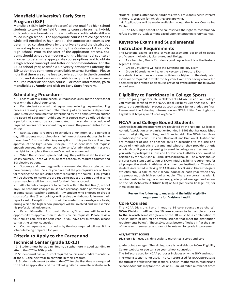# **Mansfield University's Early Start Program (ESP)**

Mansfield's ESP (Early Start Program) allows qualified high school students to take Mansfield University courses-in online, hybrid, or face-to-face formats - and earn college credits while still enrolled in high school. The appropriate courses are college credits while still enrolled in high school. The appropriate courses are determined collaboratively by the university and the district but may not replace courses offered by the Coudersport Area Jr.-Sr. High School. Prior to the start of the application process, students should schedule a meeting with the high school counselor in order to determine appropriate course options and to obtain a high school transcript and letter or recommendation. For the 22-23 school year, Mansfield University anticipates offering the ESP tuition free contingent on available external funding. Please note that there are some fees to pay in addition to the discounted tuition, and students are responsible for acquiring the necessary required materials for each course. For more information, **go to mansfield.edu/apply and click on Early Start Program.** 

# **Scheduling Procedures**

• Each student will pre-schedule (request courses) for the next school year with the school counselor.

• Each student is advised that requests made during the pre-scheduling process are not guaranteed. The offering of any course is dependent upon sufficient enrollment as determined by the administration and/or the Board of Education. Additionally, a course may be offered during a period that cannot be accommodated in the student's schedule of required courses or the student may not meet the pre-requisites for the course.

• Each student is required to schedule a minimum of 7.5 periods a day. All students must schedule a minimum of classes that results in no more than 1.5 study halls. Any exception to this practice will require approval of the High School Principal. If a student does not request enough courses, the school counselor and/or administration reserves the right to complete the student's schedule as needed.

When the student is pre-scheduling, they will be asked to select at least 9 courses. These will include core academics, required courses and 2-3 elective options.

• Students and parents/guardians are reminded that certain courses have pre-requisites. Be sure you have met the pre-requisites or on track for meeting the pre-requisites before requesting the course. Final grades will be checked to make sure pre-requisite grades are earned and in some cases, teachers will be consulted for their final approval.

• All schedule changes are to be made with in the first five (5) school days. All schedule changes must have parent/guardian permission and in some cases, teacher approval. Any student who chooses to drop a course after five (5) school days will receive a withdrawal failure on their report card. Exceptions to this will be made on a case-by-case basis, during which the high school principal will be involved and will exercise his professional judgement.

• Parent/Guardian Approval: Parents/Guardians will have the opportunity to approve their student's course requests. Please review your child's requests for next year. If you have any questions, please contact the school counselor.

Course requests not turned in by the date required will result in a schedule being prepared for you.

# **Criteria to Apply to the Career and**

# **Technical Center (grade 10-12)**

 1. Student must be, at a minimum, a sophomore in good standing to attend the CTC in 10th grade.

 2. Student must pass all district required courses and credits to continue at the CTC the next year to continue in their program.

 3. Students who want to attend the CTC for the first time are required to fill out an application and the following criteria is used to evaluate each student: grades, attendance, tardiness, work ethic and sincere interest in the CTC program for which they are applying.

 4. Applications will be made available through the School Counseling Center.

 5. The CASD high school principal reserves the right to recommend/ refuse student CTC placement based upon extenuating circumstances.

# **Keystone Exams and Supplemental**

# **Instruction Requirements**

The Keystone Exams are end-of-year assessments designed to gauge proficiency in Algebra I, Literature, and Biology.

• As scheduled, Grade 7 students (and beyond) will take the Kestone Algebra I Exam.

- Grade 9 students will take the Keystone Biology Exam.
- Grade 10 students will take the Keystone Literature Exam.

Any student who does not score proficient or higher on the designated exam will be required to retake the Keystone Exam after having completed a semester-long remediation course provided by the district the following school year.

# **Eligibility to Participate in College Sports**

If you are going to participate in athletics at a NCAA Division I or II college you must be certified by the NCAA Initial Eligibility Clearinghouse. Plan to start the certification process as soon as one's junior grades are final. Please read the following information on NCAA Initial Clearinghouse Eligibility at https://web3.ncaa.org/ecwr3.

# **NCAA and College Bound Students**

Many college athletic programs are regulated by the National Collegiate Athletic Association, an organization founded in 1906 that has established rules on eligibility, recruiting, and financial aid. The NCAA has three membership divisions - Division I, Division II, and Division III. Institutions are members of one or another division according to the size and scope of their athletic programs and whether they provide athletic scholarships. If you are planning to enroll in college as a freshman and you wish to participate in Division I or Division II athletics, you must be certified by the NCAA Initial-Eligibility Clearinghouse. The Clearinghouse ensures consistent application of NCAA initial eligibility requirement for all prospective student athletes at all member institutions. Therefore, students interested in playing NCAA Division I or Division II intercollegiate athletics should talk to their school counselor each year when they are preparing their high school schedule. There are certain academic requirements including core courses, grade point average, and scores on the SAT (Scholastic Aptitude Test) or ACT (American College Test) for initial eligibility.

#### **Review the following to understand the initial eligibility requirements for Divisions I and II.**

# **Core Courses**

The NCAA Divisions I and II require 16 core courses (see charts). **NCAA Division I will require 10 core courses** to be completed **prior to the seventh semester** (seven of the 10 must be a combination of English, math or natural or physical science that meet the distribution requirements below). These 10 courses become "locked in" at the start of the seventh semester and cannot be retaken for grade improvement.

#### **ACT/SAT TEST SCORES**

**Division I & II** uses a sliding scale to match test scores and core

grade point average. The sliding scale is available on NCAA Eligibility Center website or you can see your school counselor.

The SAT score used for NCAA purposes includes only the ERW and math. The writing section is not used. The ACT score used for NCAA purposes is the **sum** of the following four sections: English, mathematics, reading and science. Students may take the SAT or ACT an unlimited number of times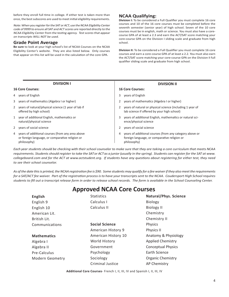before they enroll full time in college. If either test is taken more than once, the best subscores are used to meet initial eligibility requirements.

Note: When you register for the SAT or ACT, use the NCAA Eligibility Center code of 9999 to ensure all SAT and ACT scores are reported directly to the NCAA Eligibility Center from the testing agency. Test scores that appear on transcripts WILL NOT be used.

# **Grade Point Average**

**Be sure** to look at your high school's list of NCAA Courses on the NCAA Eligibility Center's website. They are also listed below. Only courses that appear on this list will be used in the calculation of the core GPA.

# **NCAA Qualifying:**

**Division I:** To be considered a Full Qualifier you must complete 16 core courses and 10 of the 16 core courses must be completed before the seventh semester (senior year) of high school. Seven of the 10 core courses must be in english, math or science. You must also have a corecourse GPA of at least a 2.3 and earn the ACT/SAT score matching your core-course GPA on the Division I sliding scale and graduate from high school.

**Division II:** To be considered a Full Qualifier you must complete 16 core courses and earn a core-course GPA of at least a 2.2. You must also earn the ACT/SAT score matching your core-course GPA on the Division II full qualifier sliding scale and graduate from high school.

| <b>DIVISION I</b>                                                                                                    | <b>DIVISION II</b>                                                                                                          |
|----------------------------------------------------------------------------------------------------------------------|-----------------------------------------------------------------------------------------------------------------------------|
| <b>16 Core Courses:</b>                                                                                              | <b>16 Core Courses:</b>                                                                                                     |
| 4 years of English                                                                                                   | years of English<br>3                                                                                                       |
| 3 years of mathematics (Algebra I or higher)                                                                         | years of mathematics (Algebra I or higher)                                                                                  |
| 2 years of natural/physical science (1 year of lab if<br>offered by high school)                                     | years of natural or physical science (including 1 year of<br>lab science if offered by your high school)                    |
| 1 year of additional English, mathematics or<br>natural/physical science                                             | years of additional English, mathematics or natural sci-<br>3.<br>ence/physical science                                     |
| 2 years of social science                                                                                            | years of social science                                                                                                     |
| 4 years of additional courses (from any area above<br>or foreign language, or comparative religion or<br>philosophy) | years of additional courses (from any category above or<br>4<br>foreign language, or comparative religion or<br>philosophy) |

*Each year students should be checking with their school counselor to make sure that they are taking a core curriculum that meets NCAA requirements. Students should register to take the SAT or ACT as a junior (usually in the spring). Students can register for the SAT at www. collegeboard.com and for the ACT at www.actstudent.org. If students have any questions about registering for either test, they need to see their school counselor.*

*As of the date this is printed, the NCAA registration fee is \$90. Some students may qualify for a fee waiver if they also meet the requirements for a SAT/ACT fee waiver. Part of the registration process is to have your transcripts sent to the NCAA. Coudersport High School requires students to fill out a transcript release form in order to release school records. The form is available in the School Counseling Center.*

# **Approved NCAA Core Courses**

| <b>English</b>     | <b>Statistics</b>       | Natural/Phys. Science     |
|--------------------|-------------------------|---------------------------|
| English 9          | Calculus I              | <b>Biology</b>            |
| English 10         | Calculus II             | <b>Biology II</b>         |
| American Lit.      |                         | Chemistry                 |
| British Lit.       |                         | Chemistry II              |
| Communications     | <b>Social Science</b>   | Physics                   |
|                    | American History 9      | Physics II                |
| <b>Mathematics</b> | American History 10     | Anatomy & Physiology      |
| Algebra I          | World History           | <b>Applied Chemistry</b>  |
| Algebra II         | Government              | <b>Conceptual Physics</b> |
| Pre-Calculus       | Psychology              | Earth Science             |
| Modern Geometry    | Sociology               | <b>Organic Chemistry</b>  |
|                    | <b>Criminal Justice</b> | <b>AP Chemistry</b>       |

**Additional Core Courses**- French I, II, III, IV and Spanish I, II, III, IV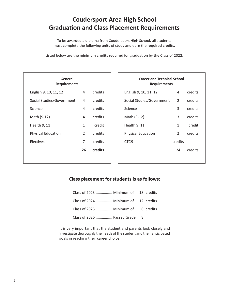# **Coudersport Area High School Graduation and Class Placement Requirements**

To be awarded a diploma from Coudersport High School, all students must complete the following units of study and earn the required credits.

Listed below are the minimum credits required for graduation by the Class of 2022.

| General<br><b>Requirements</b> |               |         |  |  |
|--------------------------------|---------------|---------|--|--|
| English 9, 10, 11, 12          | 4             | credits |  |  |
| Social Studies/Government      | 4             | credits |  |  |
| Science                        | 4             | credits |  |  |
| Math (9-12)                    | 4             | credits |  |  |
| Health 9, 11                   | 1             | credit  |  |  |
| <b>Physical Education</b>      | $\mathcal{P}$ | credits |  |  |
| <b>Electives</b>               | 7             | credits |  |  |
|                                | 26            | credits |  |  |
|                                |               |         |  |  |

| <b>Career and Technical School</b><br><b>Requirements</b> |               |         |  |  |
|-----------------------------------------------------------|---------------|---------|--|--|
| English 9, 10, 11, 12                                     | 4             | credits |  |  |
| Social Studies/Government                                 | 2             | credits |  |  |
| Science                                                   | 3             | credits |  |  |
| Math (9-12)                                               | 3             | credits |  |  |
| Health 9, 11                                              | $\mathbf{1}$  | credit  |  |  |
| <b>Physical Education</b>                                 | $\mathcal{L}$ | credits |  |  |
| CTC <sub>9</sub>                                          | credits       |         |  |  |
|                                                           | 24            | credits |  |  |
|                                                           |               |         |  |  |

# **Class placement for students is as follows:**

| Class of 2023  Minimum of 18 credits |  |  |
|--------------------------------------|--|--|
| Class of 2024  Minimum of 12 credits |  |  |
| Class of 2025  Minimum of 6 credits  |  |  |
| Class of 2026  Passed Grade 8        |  |  |

It is very important that the student and parents look closely and investigate thoroughly the needs of the student and their anticipated goals in reaching their career choice.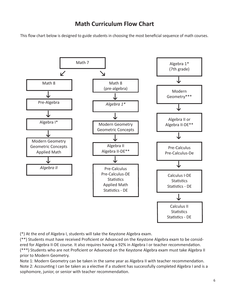# **Math Curriculum Flow Chart**

This flow chart below is designed to guide students in choosing the most beneficial sequence of math courses.



(\*) At the end of Algebra I, students will take the Keystone Algebra exam.

(\*\*) Students must have received Proficient or Advanced on the Keystone Algebra exam to be considered for Algebra II-DE course. It also requires having a 92% in Algebra I or teacher recommendation. (\*\*\*) Students who are not Proficient or Advanced on the Keystone Algebra exam must take Algebra II prior to Modern Geometry.

Note 1: Modern Geometry can be taken in the same year as Algebra II with teacher recommendation. Note 2: Accounting I can be taken as a elective if a student has successfully completed Algebra I and is a sophomore, junior, or senior with teacher recommendation.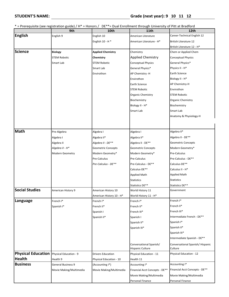\* = Prerequisite (see registration guide) / H\* = Honors / DE\*\*= Dual Enrollment through University of Pitt at Bradford

|                                           | 9th                       | <b>10th</b>               | <b>11th</b>                                        | 12th                                       |
|-------------------------------------------|---------------------------|---------------------------|----------------------------------------------------|--------------------------------------------|
| <b>English</b>                            | English 9                 | English 10                | American Literature                                | Career-Technical English 12                |
|                                           |                           | English 10 - H *          | American Literature - H*                           | <b>British Literature 12</b>               |
|                                           |                           |                           |                                                    | British Literature 12 - H*                 |
| <b>Science</b>                            | <b>Biology</b>            | <b>Applied Chemistry</b>  | Chemistry                                          | Chem or Applied Chem                       |
|                                           | <b>STEM Robotic</b>       | Chemistry                 | <b>Applied Chemistry</b>                           | <b>Conceptual Physics</b>                  |
|                                           | Smart Lab                 | <b>STEM Robotic</b>       | <b>Conceptual Physics</b>                          | General Physics*                           |
|                                           |                           | Smart Lab                 | General Physics*                                   | Physics II - H*                            |
|                                           |                           | Envirothon                | AP Chemistry -H                                    | <b>Earth Science</b>                       |
|                                           |                           |                           | Envirothon                                         | Biology II - H*                            |
|                                           |                           |                           | Earth Science                                      | AP Chemistry-H                             |
|                                           |                           |                           | <b>STEM Robotic</b>                                | Envirothon                                 |
|                                           |                           |                           | <b>Organic Chemistry</b>                           | <b>STEM Robotic</b>                        |
|                                           |                           |                           | Biochemistry                                       | <b>Organic Chemistry</b>                   |
|                                           |                           |                           | Biology II - H*                                    | Biochemistry                               |
|                                           |                           |                           | Smart Lab                                          | Smart Lab                                  |
|                                           |                           |                           |                                                    | Anatomy & Physiology-H                     |
|                                           |                           |                           |                                                    |                                            |
|                                           |                           |                           |                                                    |                                            |
| <b>Math</b>                               | Pre-Algebra               | Algebra I                 | Algebra I                                          | Algebra II*                                |
|                                           | Algebra I                 | Algebra II*               | Algebra II*                                        | Algebra II - DE**                          |
|                                           | Algebra II                | Algebra II - DE**         | Algebra II - DE**                                  | <b>Geometric Concepts</b>                  |
|                                           | Algebra II - H*           | <b>Geometric Concepts</b> | <b>Geometric Concepts</b>                          | Modern Geometry*                           |
|                                           | Modern Geometry           | Modern Geometry*          | Modern Geometry*                                   | Pre-Calculus                               |
|                                           |                           | Pre-Calculus              | Pre-Calculus                                       | Pre-Calculus - DE**                        |
|                                           |                           | Pre-Calculus - DE**       | Pre-Calculus - DE**                                | Calculus-DE**                              |
|                                           |                           |                           | Calculus-DE**                                      | Calculus II - H*                           |
|                                           |                           |                           | <b>Applied Math</b>                                | <b>Applied Math</b>                        |
|                                           |                           |                           | <b>Statistics</b>                                  | <b>Statistics</b>                          |
|                                           |                           |                           | Statistics DE**                                    | Statistics DE**                            |
| <b>Social Studies</b>                     | American History 9        | American History 10       | World History 11                                   | Government                                 |
|                                           |                           | American History 10 - H*  | World History 11 - H*                              |                                            |
| Language                                  | French I*                 | French I*                 | French I*                                          | French I*                                  |
|                                           | Spanish I*                | French II*                | French II*                                         | French II*                                 |
|                                           |                           | Spanish I                 | French III*                                        | French III*                                |
|                                           |                           | Spanish II*               | Spanish I                                          | Intermediate French - DE**                 |
|                                           |                           |                           | Spanish II*                                        | Spanish <sup>1*</sup>                      |
|                                           |                           |                           | Spanish III*                                       | Spanish II*                                |
|                                           |                           |                           |                                                    | Spanish III*                               |
|                                           |                           |                           |                                                    | Intermediate Spanish - DE**                |
|                                           |                           |                           | Conversational Spanish/<br><b>Hispanic Culture</b> | Conversational Spanish/Hispanic<br>Culture |
| Physical Education Physical Education - 9 |                           | <b>Drivers Education</b>  | Physical Education - 11                            | Physical Education - 12                    |
| <b>Health</b>                             | Health 9                  | Physical Education - 10   | Health 11                                          |                                            |
| <b>Business</b>                           | <b>General Business 9</b> | (Accounting I*)           | Accounting I*                                      | Accounting I*                              |
|                                           | Movie Making/Multimedia   | Movie Making/Multimedia   | Financial Acct Concepts - DE**                     | Financial Acct Concepts - DE**             |
|                                           |                           |                           | Movie Making/Multimedia                            | Movie Making/Multimedia                    |
|                                           |                           |                           | Personal Finance                                   | Personal Finance                           |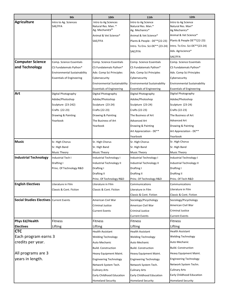|                                                | 9th                              | 10th                                                                      | 11th                                                        | 12th                                                      |
|------------------------------------------------|----------------------------------|---------------------------------------------------------------------------|-------------------------------------------------------------|-----------------------------------------------------------|
| <b>Agriculture</b>                             | Intro to Ag. Sciences<br>SAE/FFA | Intro to Ag Sciences<br>Natural Res. Man. *<br>Ag. MechaniCS <sup>*</sup> | Intro to Ag Science<br>Natural Res. Man.*<br>Ag. Mechanics* | Intro to Ag Science<br>Natural Res. Man*<br>Ag Mechanics* |
|                                                |                                  | Animal & Vet Science*                                                     | Animal & Vet Science*                                       | Animal & Vet Science*                                     |
|                                                |                                  | SAE/FFA                                                                   | Plants & People - DE**(22-23)                               | Plants & People DE**(22-23)                               |
|                                                |                                  |                                                                           | Intro. To Env. Sci-DE** (23-24)                             | Intro. To Env. Sci-DE**(23-24)                            |
|                                                |                                  |                                                                           | SAE/FFA                                                     | Adv. Agriscience*                                         |
|                                                |                                  |                                                                           |                                                             | SAE/FFA                                                   |
| <b>Computer Science</b>                        | Comp. Science Essentials         | Comp. Science Essentials                                                  | Comp. Science Essentials                                    | Comp. Science Essentials                                  |
| and Technology                                 | CS Fundatemals Python*           | CS Fundatemals Python*                                                    | CS Fundatemals Python*                                      | CS Fundatemals Python*                                    |
|                                                | Environmental Sustainability     | Adv. Comp Sci Principles                                                  | Adv. Comp Sci Principles                                    | Adv. Comp Sci Principles                                  |
|                                                | <b>Essentials of Engineering</b> | Cybersecurity                                                             | Cybersecurity                                               | Cybersecurity                                             |
|                                                |                                  | <b>Environmental Sustainability</b>                                       | <b>Environmental Sustainability</b>                         | <b>Environmental Sustainability</b>                       |
|                                                |                                  | <b>Essentials of Engineering</b>                                          | <b>Essentials of Engineering</b>                            | <b>Essentials of Engineering</b>                          |
| Art                                            | Digital Photography              | Digital Photography                                                       | Digital Photography                                         | Digital Photography                                       |
|                                                | Adobe/Photoshop                  | Adobe/Photoshop                                                           | Adobe/Photoshop                                             | Adobe/Photoshop                                           |
|                                                | Sculpture (23-242)               | Sculpture (23-24)                                                         | Sculpture (23-24)                                           | Sculpture (23-24)                                         |
|                                                | Crafts (22-23)                   | Crafts (22-23)                                                            | Crafts (22-23)                                              | Crafts (22-23)                                            |
|                                                | Drawing & Painting               | Drawing & Painting                                                        | The Business of Art                                         | The Business of Art                                       |
|                                                | Yearbook                         | The Business of Art                                                       | Advanced Art                                                | Advanced Art                                              |
|                                                |                                  | Yearbook                                                                  | Drawing & Painting                                          | Drawing & Painting                                        |
|                                                |                                  |                                                                           | Art Appreciation - DE**                                     | Art Appreciation - DE**                                   |
|                                                |                                  |                                                                           | Yearbook                                                    | Yearbook                                                  |
| <b>Music</b>                                   | Sr. High Chorus                  | Sr. High Chorus                                                           | Sr. High Chorus                                             | Sr. High Chorus                                           |
|                                                | Sr. High Band                    | Sr. High Band                                                             | Sr. High Band                                               | Sr. High Band                                             |
|                                                | <b>Music Theory</b>              | Music Theory                                                              | Music Theory                                                | Music Theory                                              |
| <b>Industrial Technology</b>                   | Industrial Tech I                | Industrial Technology I                                                   | Industrial Technology I                                     | Industrial Technology I                                   |
|                                                | Drafting I                       | Industrial Technology II                                                  | Industrial Technology II                                    | Industrial Technology II                                  |
|                                                | Princ. Of Technology R&D         | Drafting I                                                                | Drafting I                                                  | Drafting I                                                |
|                                                |                                  | Drafting II                                                               | Drafting II                                                 | Drafting II                                               |
|                                                |                                  | Princ. Of Technology R&D                                                  | Princ. Of Technology R&D                                    | Princ. Of Tech R&D                                        |
| <b>English Electives</b>                       | Literature in Film               | Literature in Film                                                        | Communications                                              | Communications                                            |
|                                                | Classic & Cont. Fiction          | Classic & Cont. Fiction                                                   | Literature in Film                                          | Literature in Film                                        |
|                                                |                                  |                                                                           | Classic & Cont. Fiction                                     | Classic & Cont. Fiction                                   |
| <b>Social Studies Electives Current Events</b> |                                  | American Civil War                                                        | Sociology/Pscychology                                       | Sociology/Pscychology                                     |
|                                                |                                  | Criminal Justice                                                          | American Civil War                                          | American Civil War                                        |
|                                                |                                  | <b>Current Events</b>                                                     | <b>Criminal Justice</b>                                     | Criminal Justice                                          |
|                                                |                                  |                                                                           | <b>Current Events</b>                                       | Current Events                                            |
| Phys Ed/Health                                 | <b>Fitness</b>                   | <b>Fitness</b>                                                            | <b>Fitness</b>                                              | <b>Fitness</b>                                            |
| <b>Electives</b>                               | Lifting                          | Lifting                                                                   | Lifting                                                     | Lifting                                                   |
| <b>CTC</b>                                     |                                  | <b>Health Assistant</b>                                                   | <b>Health Assistant</b>                                     | <b>Health Assistant</b>                                   |
| Each program earns 3                           |                                  | <b>Welding Technology</b>                                                 | <b>Welding Technology</b>                                   | <b>Welding Technology</b>                                 |
| credits per year.                              |                                  | Auto Mechanic                                                             | Auto Mechanic                                               | Auto Mechanic                                             |
|                                                |                                  | Build. Construction                                                       | <b>Build. Construction</b>                                  | <b>Build. Construction</b>                                |
| All programs are 3                             |                                  | Heavy Equipment Maint.                                                    | Heavy Equipment Maint.                                      | Heavy Equipment Maint.                                    |
| years in length.                               |                                  |                                                                           |                                                             | <b>Engineering Technology</b>                             |
|                                                |                                  | <b>Engineering Technology</b>                                             | <b>Engineering Technology</b>                               | Network System Techn.                                     |
|                                                |                                  | Network System Tech.                                                      | Network System Tech.                                        | Culinary Arts                                             |
|                                                |                                  | <b>Culinary Arts</b>                                                      | <b>Culinary Arts</b>                                        |                                                           |
|                                                |                                  | Early Childhood Education                                                 | Early Childhood Education                                   | Early Childhood Education                                 |
|                                                |                                  | <b>Homeland Security</b>                                                  | <b>Homeland Security</b>                                    | <b>Homeland Security</b>                                  |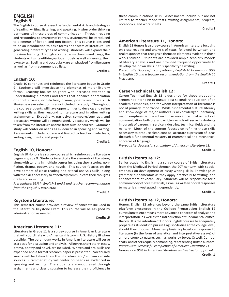# **ENGLISH English 9:**

The English 9 course stresses the fundamental skills and strategies of reading, writing, listening, and speaking. Higher order thinking permeates all these areas of communication. Through reading and responding to a variety of genres, students will be introduced to elements of fiction, and non-fiction. This course is designed to be an introduction to basic forms and facets of literature. By generating different types of writing, students will expand their previous learning. Through acceptable mechanics and usage, the students will write utilizing various models as well as develop their own styles. Spelling and vocabulary are emphasized from literature as well as from recommended lists.

*Credit: 1* 

# **English 10:**

Grade 10 continues and reinforces the literature begun in Grade 9. Students will investigate the elements of major literary forms. Learning focuses on genre with increased attention to understanding elements and terms that enhance appreciation of short stories, non-fiction, drama, poetry and novels. A Shakespearean selection is also included for study. Throughout the course students will have opportunities to develop and refine writing skills as they respond to literature and in other writing assignments. Expository, narrative, compare/contrast, and persuasive writing will be emphasized. Vocabulary words will be taken from the literature and/or from outside sources. Grammar study will center on needs as evidenced in speaking and writing. Assessments include but are not limited to teacher made tests, writing assignments, and projects.

**Credit: 1** 

# **English 10, Honors:**

English 10 Honors is a survey course which reinforces the literature begun in grade 9. Students investigate the elements of literature, along with writing in multiple genres including short stories, nonfiction, drama, poetry, and novels. This course focuses on the development of close reading and critical analysis skills, along with the skills necessary to effectively communicate their thoughts orally and in writing.

*Prerequisite: 95% in English 8 and 9 and teacher recommendation from the English 9 instructor.*

**Credit: 1** 

# **Keystone Literature:**

This semester course provides a review of concepts included in the Literature Keystone Exam. This course will be assigned by administration as needed.

**Credit: .5**

# **American Literature 11:**

Literature in Grade 11 is a survey course in American Literature that will coordinate with American history in U.S. History III when possible. The paramount works in American literature will serve as a basis for discussion and analysis. All genre, short story, essay, drama, poetry and novel, are included. Written and oral skills are expanded and a formal research paper is presented. Vocabulary words will be taken from the literature and/or from outside sources. Grammar study will center on needs as evidenced in speaking and writing. The students are encouraged through assignments and class discussion to increase their proficiency in

these communications skills. Assessments include but are not limited to teacher made tests, writing assignments, projects, notebooks, and work sheets.

**Credit: 1**

# **American Literature 11, Honors:**

English 11 Honors is a survey course in American literature focusing on close reading and analysis of texts, followed by written and oral responses that recognize thematic elements evident in those works studied. Students are provided ample scholarly models of literary analysis and are provided frequent opportunity to develop their own skills in this specific type writing.

*Prerequisite: Successful completion of English 10 Honors or a 95% in English 10 and a teacher recommendation from the English 10 instructor.*

**Credit: 1**

# **Career-Technical English 12:**

Career-Technical English 12 is designed for those graduating seniors not intending to pursue post secondary education of an academic emphasis, and for whom interpretation of literature is not of primary importance. While fundamental cultural literacy and knowledge of major authors is acknowledged, certainly, major emphasis is placed on those more practical aspects of communication, both oral and written, which will serve its students in pursuit of careers in service industries, technical fields and the military. Much of the content focuses on refining those skills necessary to produce clear, concise, accurate expression of ideas through a fundamental mastery of grammatical and mechanical concerns of language.

*Prerequisite: Successful completion of American Literature 11.*

**Credit: 1**

# **British Literature 12:**

Senior academic English is a survey course of British Literature from the Medieval Period through the 20<sup>th</sup> century, with special emphasis on development of essay writing skills, knowledge of grammar fundamentals as they apply practically to writing, and enhancement of vocabulary. Students will be responsible for a common body of core materials, as well as written or oral responses to materials investigated independently.

**Credit: 1**

# **British Literature 12, Honors:**

Honors English 12 advances beyond the same British Literature platform presented in the College Preparation English 12 curriculum to encompass more advanced concepts of analysis and interpretation, as well as the introduction of fundamental critical theory. It is the intention of Honors English courses to adequately prepare its students to pursue English Studies at the college level, should they choose. More emphasis is placed on response to literature (in the form of analytical and interpretative essays) of a more complex nature, such as works by Joyce, Orwell, Conrad, Yeats, and others equally demanding, representing British authors. *Prerequisite: Successful completion of American Literature 11 Honors or a 95% in American Literature and instructor approval.*

**Credit: 1**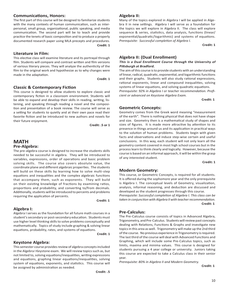# **Communications, Honors:**

The first part of this course will be designed to familiarize students with the many contexts of human communication, such as interpersonal, small group, organizational, public speaking, and media communication. The second part will be to teach and provide practice the tenets of basic composition and to produce a properly documented research paper using MLA precepts and procedures. *Credit: 1* 

# **Literature in Film:**

This elective class will examine literature and its portrayal through film. Students will compare and contrast written and film versions of various literary pieces. They will analyze the authenticity of the film to the original work and hypothesize as to why changes were made in the adaptation.

**Credit: 1**

# **Classic & Contemporary Fiction**

This course is designed to allow students to explore classic and contemporary fiction in a classroom environment. Students will be able to expand and develop their skills in reading, writing, listening, and speaking through reading a novel and the composition and presentation of a book review. The course will serve as a setting for students to quietly and at their own pace read their favorite fiction and be introduced to new authors and novels for their future enjoyment.

 $Credit: 5 or 1$ 

# **MATH Pre-Algebra:**

The pre-algebra course is designed to increase the students skills needed to be successful in algebra. They will be introduced to variables, expressions, order of operations and basic problem solving skills. The course also covers absolute value, the coordinate plane and different algebraic properties. The students will build on these skills by learning how to solve multi-step equations and inequalities and the complex algebraic functions that accompany them, such as exponents. They will build on their existing knowledge of fractions by examining ratios, proportions and probability, and converting to/from decimals. Additionally, students will be introduced to percents and problems requiring the application of percents.

**Credit: 1**

# **Algebra I:**

Algebra I serves as the foundation for all future math courses in a student's secondary or post-secondary education. Students must use higher level thinking skills to solve problems conceptually and mathematically. Topics of study include graphing & solving linear equations, probability, rates, and systems of equations.

**Credit: 1** 

# **Keystone Algebra:**

This semester course provides review of algebra concepts included in the Algebra I Keystone exam. We will review topics such as, but not limited to, solving equations/inequalities, writing expressions and equations, graphing linear equations/inequalities, solving system of equations, exponents, and statistics. This course will be assigned by administration as needed.

**Credit: .5** <u>Credit: .5</u>

# **Algebra II:**

Many of the topics explored in Algebra I will be applied in Algebra II in new settings. Algebra I will serve as a foundation for the topics we will explore in Algebra II. The class will explore sequence & series, statistics, data analysis, functions (linear/ exponential/quadratic/logarithmic) and systems of equations. *Prerequisite: Successful completion of Algebra I.*

**Credit: 1**

# **Algebra II: (Dual Enrollment)**

# **This is a Dual Enrollment Course through the University of Pittsburgh at Bradford.**

The aim of this course is to provide students with an understanding of linear, radical, quadratic, exponential, and logarithmic functions and their graphs. Students will also study rational expressions, rational exponents, linear and compound inequalities, solving systems of linear equations, and solving quadratic equations.

*Prerequisite: 92% in Algebra I or teacher recommendation. Proficient or advanced on Keystone Algebra Exam.*

**Credit: 1** 

# **Geometric Concepts:**

Geometry comes from the Greek word meaning "measurement of the earth". There is nothing physical that does not have shape and size. Geometry then is a mathematical study of shapes and sizes of figures. It is made more attractive by attention to its presence in things around us and its application in practical ways to the solution of human problems. Students begin with given facts and observations and induce step-wise certain and useful conclusions. In this way, each student will not only learn all the geometry content covered in most high school courses but in the process learn to think clearly and logically. However, because the course is based on an informal approach, it will be within the grasp of any interested student.

**Credit: 1**

# **Modern Geometry:**

This course, or Geometric Concepts, is required for all students. It is offered during the sophomore year and the only prerequisite is Algebra I. The conceptual levels of Geometry, visualization, analysis, informal reasoning, and deduction are discussed and developed as the student progresses through this course.

*Prerequisite: Successful completion of Algebra I. This class can be taken in conjunction with Algebra II with teacher recommendation.* **Credit: 1** 

# **Pre-Calculus:**

The Pre-Calculus course consists of topics in Advanced Algebra, Trigonometry, and Pre-Calculus. Students will review past concepts dealing with Relations, Functions & Graphs and investigate new topics in this area as well. Trigonometry will make up the 2nd third of the course. No previous experience in Trigonometry is required. The last third of the course will deal with Advanced Functions and Graphing, which will include some Pre-Calculus topics, such as limits, maxima and minima values. This course is designed for students pursuing a 4 year college or university. Juniors taking this course are expected to take a Calculus class in their senior year.

*Prerequisite: 80% in Algebra II and Modern Geometry.*

 **Credit: 1**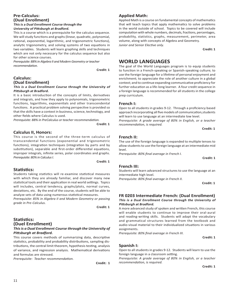# **Pre-Calculus: (Dual Enrollment) This is a Dual Enrollment Course through the**

**University of Pittsburgh at Bradford.**

This is a course which is a prerequisite for the calculus sequence. We will study functions and graphs (linear, quadratic, polynomial, rational, exponential, logarithmic, and trigonometric functions), analytic trigonometry, and solving systems of two equations in two variables. Students will learn graphing skills and techniques which are not only necessary for the calculus sequence but also for other science courses.

*Prerequisite: 88% in Algebra II and Modern Geometry or teacher recommendation.*

**Credit: 1**

# **Calculus: (Dual Enrollment)**

# **This is a Dual Enrollment Course through the University of Pittsburgh at Bradford.**

It is a basic introduction of the concepts of limits, derivatives and integrals, and how they apply to polynomials, trigonometric functions, logarithms, exponentials and other transcendental functions. A practical problem solving perspective is provided so that the skills have a context in business, science, technology, and other fields where Calculus is used.

*Prerequisite: 88% in PreCalculus or teacher recommendation.*

**Credit: 1**

# **Calculus II, Honors:**

This course is the second of the three-term calculus of transcendental functions (exponential and trigonometric functions), integration techniques (integration by parts and by substitution), separable and first-order differential equations, improper integrals, infinite series, polar coordinates and graphs. *Prerequisite: 80% in Calculus I.* 

*Credit: 1* 

# **Statistics:**

Students taking statistics will re-examine statistical measures with which they are already familiar, and discover many new statistical tools and their application in real world settings. Topics will includes, central tendency, graphs/plots, normal curves, deviations, etc. By the end of the course, students will be able to analyze sets of data using numerous statistical measures.

*Prerequisite: 85% in Algebra II and Modern Geometry or passing grade in Pre-Calculus.*

**Credit: 1**

# **Statistics: (Duel Enrollment)** *This is a Dual Enrollment Course through the University of Pittsburgh at Bradford.*

This course covers methods of summarizing data, descriptive statistics, probability and probability distributions, sampling distributions, the central limit theorem, hypothesis testing, analysis of variance, and regression analysis. Mathematical derivations and formulas are stressed.

*Prerequisite: Teacher recommendation.*

**Credit: 1**

# **Applied Math:**

Applied Math is a course on fundamental concepts of mathematics that will teach topics that apply mathematics to solve problems in the world outside of school. Topics to be covered will include computation with whole numbers, decimals, fractions, percentages, probability, statistics, graphs, measurement, perimeter, area volume, along with concepts of Algebra and Geometry. *Junior and Senior Elective only.*

**Credit: 1** 

# **WORLD LANGUAGES**

The goal of the World Languages program is to equip students to function in a French-speaking or Spanish-speaking culture; to use the foreign language for a lifetime of personal enjoyment and enrichment; to appreciate the role of another culture in a global context; and to continue expanding communicative proficiency for further education as a life-long learner. A four credit sequence in a foreign language is recommended for all students in the college prep curriculum.

# **French I:**

Open to all students in grades 9-12. Through a proficiency based approach incorporating all five models of communication,students will learn to use language at an intermediate low level.

*Prerequisite: A grade average of 80% in English, or a teacher recommendation, is required.* 

```
 Credit: 1
```
# **French II:**

The use of the foreign language is expanded to multiple tenses to allow students to use the foreign language at an intermediate mid level.

*Prerequisite: 80% final average in French I.* 

*<u>Credit: 1</u>* 

# **French III:**

Students will learn advanced structures to use the language at an intermediate high level.

*Prerequisite: 80% final average in French II.*

**Credit: 1**

# **FR 0203 Intermediate French: (Dual Enrollment) This is a Dual Enrollment Course through the University of**

**Pittsburgh at Bradford.** A more advanced study of spoken and written French, this course will enable students to continue to improve their oral-aural and reading-writing skills. Students will adapt the vocabulary and grammatical structures learned from the textbook and audio-visual material to their individualized situations in various assignments.

*Prerequisite: 80% final average in French III*.

**Credit: 1**

# **Spanish I:**

Open to all students in grades 9-12. Students will learn to use the foreign language in a classroom setting.

*Prerequisite: A grade average of 80% in English, or a teacher recommendation, is required.*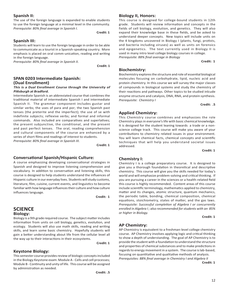# **Spanish II:**

The use of the foreign language is expanded to enable students to use the foreign language at a minimal level in the community. *Prerequisite: 80% final average in Spanish I*.

**Credit: 1**

# **Spanish III:**

Students will learn to use the foreign language in order to be able to communicate as a tourist in a Spanish-speaking country. More emphasis is placed on oral comm-unication, reading and writing in the foreign language.

*Prerequisite: 80% final average in Spanish II.*

 *Credit: 1* **Credit: 1** 

# **SPAN 0203 Intermediate Spanish: (Dual Enrollment)**

# **This is a Dual Enrollment Course through the University of Pittsburgh at Bradford.**

Intermediate Spanish is an abbreviated course that combines the traditional material of intermediate Spanish I and intermediate Spanish II. The grammar component includes gustar and similar verbs; the uses of para and por; the two Spanish past tenses (the preterite and the imperfect); the use of se with indefinite subjects; reflexive verbs; and formal and informal commands. Also included are comparatives and superlatives; the present subjunctive, the conditional, and the present and past perfect tenses. The oral, reading comprehension and cultural components of the course are enhanced by a series of short films and readings of interest to students. *Prerequisite: 80% final average in Spanish III.*

**Credit: 1**

# **Conversational Spanish/Hispanic Culture:**

A course emphasizing developing conversational strategies in Spanish and designed to improve listening comprehension and vocabulary. In addition to conversation and listening skills, this course is designed to help students understand the influences of Hispanic culture in our everyday lives. Students will study customs, literature, film, cuisine, current events, and linguistics to become familiar with how language influences their culture and how culture influences language.

 **Credit: 1**

# **SCIENCE Biology:**

Biology is a 9th grade required course. The subject matter includes information from units on cell biology, genetics, evolution, and ecology. Students will also use math skills, reading and writing skills, and learn some basic chemistry. Hopefully students will gain a better understanding about life from the cellular level all the way up to their interactions in their ecosystems.

 **Credit: 1**

# **Keystone Biology:**

This semester course provides review of biologic concepts included in the Biology Keystone exam: Module A - Cells and cell processes; Module B - Continuity and unity of life. This course will be assigned by administration as needed.

# **Biology II, Honors:**

This course is designed for college-bound students in 12th grade. Students will review information and concepts in the fields of cell biology, evolution, and genetics. They will also expand their knowledge base in these fields, and be asked to understand deeper concepts. New topics will include units on the 4 kingdoms uncovered in Biology I (plants, fungi, protists, and bacteria including viruses) as well as units on forensics and epigenetics. The text currently used in Biology II is used in many intro level college biology courses in college. *Prerequisite: 88% final average in Biology*

**Credit: 1**

# **Biochemistry:**

Biochemistry explores the structure and role of essential biological molecules focusing on carbohydrate, lipid, nucleic acid and protein chemistry. In this course we will survey the major classes of compounds in biological systems and study the chemistry of their reactions and pathways. Other topics to be studied inlcude enzyme structure and catalysis, DNA, RNA, and protein synthesis. *Prerequisite: Chemistry I*

**Credit: .5**

# **Applied Chemistry:**

This Chemistry course combines and emphasizes the role Chemistry plays in everyone's life with basic chemical knowledge. It is designed for the student leaning towards a trade or a nonscience college track. This course will make you aware of your contributions to chemistry related issues in your environment. You will learn chemical facts, chemical concepts and scientific techniques that will help you understand societal issues addressed.

**Credit: 1**

# **Chemistry I:**

Chemistry I is a college preparatory course. It is designed to give you a thorough foundation in theoretical and descriptive chemistry. This course will give you the skills needed for today's world and will emphasize problem-solving and critical thinking. If you are pursuing a career in the sciences or a health-related field this course is highly recommended. Content areas of this course include scientific terminology, mathematics applied to chemistry, matter and its changes, atomic structure, quantum mechanics, the periodic table, bonding, chemical composition, chemical equations, stoichiometry, states of matter, and the gas laws. *Prerequisite: Successful completion of Algebra I or concurrently enrolled in Algebra I ; also recommended for students with an 85% or higher in Biology.* 

**Credit: 1**

# **AP Chemistry:**

AP Chemistry is equivalent to a freshman-level college chemistry course. AP Chemistry involves applying logic and critical thinking to show a depth of understanding. The goal of AP Chemistry is to provide the student with a foundation to understand the structure and properties of chemical substances and to make predictions in regards to energy movement in a system. The course is lab-based, focusing on quantitative and qualitative methods of analysis. *Prerequisites: 88% final average in Chemistry I and Algebra II*

**Credit: 1**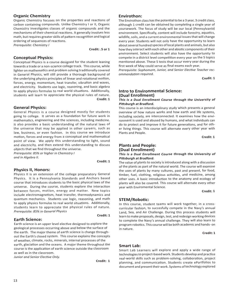# **Organic Chemistry**

Organic Chemistry focuses on the properties and reactions of carbon containing compounds. Unlike Chemistry I or II, Organic Chemistry investigates classes of organic compounds and the mechanisms of their chemical reactions. It generally involves less math, but requires greater skills of pattern recognition and logical ordering of sequences of reactions.

*Prerequisite: Chemistry I* 

**Credit: .5 or 1**

# **Conceptual Physics:**

Conceptual Physics is a course designed for the student leaning towards a trade or a non-science college track. This course, while lighter on mathematics and problem solving traditionally covered in General Physics, will still provide a thorough background of the underlying physics principles of linear and rotational motion, forces, energy, momentum, heat transfer, vibration and waves, and electricity. Students use logic, reasoning, and basic algebra to apply physics formulas to real world situations. Additionally, students will learn to appreciate the physical rules of nature. **Credit: 1**

# **General Physics:**

General Physics is a course designed mostly for students going to college. It serves as a foundation for future work in mathematics, engineering and the sciences, including medicine. It also provides a basic understanding of the natural laws of the universe that may be applied in other careers, such as law, business, or even fashion. In this course we introduce motion, forces and energy from a conceptual and mathematical point of view. We apply this understanding to light, sound and electricity, and then extend this understanding to discuss objects that we find throughout the universe. *Prerequisite: 85% or higher in Chemistry I*

*and in Algebra II.*

### **Credit: 1**

# **Physics II, Honors:**

Physics II is an extension of the college preparatory General Physics. It is a Pennsylvania Standards and Anchors based course that introduces students to the basic physical laws of the universe. During the course, students explore the interaction between forces, motion, energy and matter. New topics include electromagnetism, heat transfer, thermodynamics and quantum mechanics. Students use logic, reasoning, and math to apply physics formulas to real world situations. Additionally, students learn to appreciate the physical rules of nature. *Prerequisite: 85% in General Physics*

# **Earth Science:**

Earth science is an upper level elective designed to explore the geological processes occurring above and below the surface of the earth. The major theme of earth science is change throughout the Earth's closed system. This course explains the concepts of weather, climate, rocks, minerals, internal processes of the earth, glaciation and the oceans. A major theme throughout the course is the application of earth science outside the classroom as well as in the classroom.

*Junior and Senior Elective Only.*

**Credit: 1**

**Credit: 1**

# **Envirothon:**

The Envirothon class has the potential to be a 3 year, 3 credit class, although 1 credit can be obtained by completing a single year of coursework. The focus of study will be our local (Pennsylvania) environment. Specifically, content will include forestry, aquatics, wildlife, soils, and a current environmental issues that will change every year. Students will not only have the opportunity to learn about several hundred species of local plants and animals, but also how they interact with each other and abiotic components of their environment. Select students will also have the opportunity to compete in a district level competition every year on the 5 topics mentioned above. These 5 tests that occur every year during the first week of May could serve as final exams each year.

*Prerequisite: Sophomore, Junior, and Senior Elective Teacher recommendation required.*

**Credit: 1**

# **Intro to Environmental Science: (Dual Enrollment)**

# **This is a Dual Enrollment Course through the University of Pittsburgh at Bradford.**

This course is an interdisciplinary study which presents a general overview of how nature works and how earth and life systems, including society, are interconnected. It examines how the environment is used and abused by humans, and what individuals can do to protect and improve it for future generations, and for other living things. This course will alternate every other year with Plants and People.

**Credit: 1**

# **Plants and People: (Dual Enrollment)**

# **This is a Dual Enrollment Course through the University of Pittsburgh at Bradford.**

The value of plants to society is introduced along with a discussion of the plants as part of the natural world. The course will examine the uses of plants by many cultures, past and present, for food, timber, fuel, clothing, religious activities, and medicine, among other uses. A basic introduction to the anatomy and ecology of plants will also be covered. This course will alternate every other year with Enviromental Science.

**Credit: 1**

# **STEM/Robotic:**

In this course, student teams will work together, in a crosscurricular fashion, to succesfully compete in the Navy's annual Land, Sea, and Air Challenge. During this process students will learn to make proposals, design, test, and redesign working devices to complete the Navy's annual challenge. They will also learn to program robotics. This course will be both academic and hands- on in nature.

**Credit: 1**

# **Smart Lab:**

Smart Lab Learners will explore and apply a wide range of technologies to project-based work. Students develop and practice real-world skills such as problem-solving, collaboration, project planning, and communication. Students create ePortfolios to document and present their work. Systems of technology explored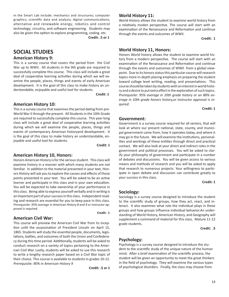in the Smart Lab include: mechanics and structures; computer graphics; scientific data and analysis; digital communications; alternative and renewable energy; robotics and control technology; circuitry; and software engineering. Students may also be given the option to explore programming, coding. etc.

 **Credit: .5 or 1**

# **SOCIAL STUDIES**

# **American History 9:**

This is a survey course that covers the period from the Civil War up to WWII. All students in the 9th grade are required to successfully complete this course. This class will include a great deal of cooperative learning activities during which we will examine the people, places, things and events of early American development. It is the goal of this class to make history an understandable, enjoyable and useful tool for students.

**Credit: 1**

# **American History 10:**

This is a survey course that examines the period dating from pre-World War II through the present. All Students in the 10th Grade are required to successfully complete this course. This year-long class will include a great deal of cooperative learning activities during which we will examine the people, places, things and events of contemporary American historyand development. It is the goal of this class to make history an understandable, enjoyable and useful tool for students.

**Credit: 1**

**Credit: 1**

# **American History 10, Honors:**

Honors American History is for the serious student. This class will examine history in a manner with which many students are not familiar. In addition to the material presented in your text, Honors History will ask you to explore the causes and effects of those points presented in your text. You will be asked to be an active learner and participate in this class and in your own education. You will be expected to take ownership of your performance in this class. Being able to express yourself verbally and in writing is an important part of your success in this class. Independent reading and research are essential for you to keep pace in this class. *Prerequisite: 95% average in American History 8 and 9 or instructor approval is required.* 

# **American Civil War:**

This course will preview the American Civil War from its inception until the assassination of President Lincoln on April 15, 1865. Students will study the essential people, documents, legislations, battles, and outcomes of both the Union and Confederacy during this time period. Additionally, students will be asked to conduct research on a variety of topics pertaining to the American Civil War. Lastly, students will be asked to use this research to write a lengthy research paper based on a Civil War topic of their choice. This course is available to students in grades 10-12. *Prerequisite: 90% in American History 9*

**Credit: .5 or 1**

# **World History 11:**

World History allows the student to examine world history from a relatively moden perspective. The course will start with an examination of the Renaissance and Reformation and continue through the events and outcomes of WWII.

**Credit: 1**

# **World History 11, Honors:**

Honors World history allows the student to examine world history from a modern perspective. The course will start with an examination of the Renaissance and Reformation and continue through the events and outcomes of WWII from a global viewpoint. Due to its honors status this particular course will research topics more in-depth placing emphasis on preparing the student toward college level writing, reading, and presentations. This course should be taken by students with an interest in world history and a desire to put extra effort in the exploration of such topics. *Prerequisite: 95% average in 10th grade history or an 88% average in 10th grade honors history,or instructor approval is required.*

**Credit: 1**

# **Government:**

Government is a survey course required for all seniors, that will look at where our present national, state, county, and municipal government came from, how it operates today, and where it may go in the future. We will examine the institutions, personalities and workings of these entities through direct and practical contact. We will also look at your direct and indirect roles in the government and political processes. You will be asked to clarify your philosophy of government and participate in a number of debates and discussions. You will be given access to various means and methods of research and you will be asked to apply that research to numerous projects. Your willingness to participate in open debate and discussion can contribute greatly to your success in this class.

**Credit: 1**

# **Sociology:**

Sociology is a survey course designed to introduce the student to the scientific study of groups, how they act, react, and interact. It also examines what role the individual plays in these groups and how groups influence individual behavior.An understanding of World History, American History, and Geography will supplement a command of material for this class. Mature 11-12 grade students.

**Credit: .5**

# **Psychology:**

Psychology is a survey course designed to introduce the student to the scientific study of the unique nature of the human mind. After a brief examination of the scientific process, the student will be given an opportunity to meet the great thinkers in the field of psychology. They will examine the various types of psychological disorders. Finally, the class may choose from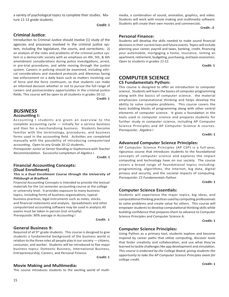a variety of psychological topics to complete their studies. Mature 11-12 grade students.

**Credit: 1**

# **Criminal Justice**:

Introduction to Criminal Justice should involve (1) study of the agencies and processes involved in the criminal justice system, including the legislature, the courts, and corrections; 2) an analysis of the roles and problems of the criminal justice system in a democratic society with an emphasis on 4th, 5th, & 6th amendment considerations during police investigations, arrest, in pre-trial procedures, and while moving through the justice system. Careers in policing should be examined, including ethical considerations and standard protocols and dilemmas facing law enforcement on a daily basis such as matters involving use of force and the force continuum, so that students can make an informed decision whether or not to pursue the full range of careers and postsecondary opportunities in the criminal justice fields. This course will be open to all students in grades 10-12.

**Credit: 1**

# **BUSINESS Accounting I:**

Accounting I students are given an overview to the complete accounting  $cycle - initially$  for a service business and then for a merchandising business. Students become familiar with the terminology, procedures, and business forms used in the accounting field. Activities are completed manually with the possibility of introducing computerized accounting. Open to any Grade 10-12 students.

*Prerequisite:* Junior or Senior Standing or Sophomore with Teacher Recommendation. Successful completion of Algebra I.

**Credit: 1**

# **Financial Accounting Concepts: (Dual Enrollment)**

# **This is a Dual Enrollment Course through the University of Pittsburgh at Bradford.**

Financial Accounting Concepts is intended to provide the textual materials for the 1st semester accounting course at the college or university level. It provides exposure to many business topics, including forms of business organizations, typical business practices, legal instruments such as notes, stocks, and financial statements and analysis. Spreadsheets and other computerized accounting software may be used in analysis.All exams must be taken in-person (not virtually). Prerequisite: 90% average in Accounting I

**Credit: 1**

# **General Business 9:**

Required of all 9<sup>th</sup> grade students. This course is designed to give students a fundamental background of the business world in relation to the three roles all people play in our society  $-$  citizens, consumer, and worker. Students will be introduced to five major business topics: Domestic Business, International Business, Entrepreneurship, Careers, and Personal Finance.

**Credit: 1**

# **Movie Making and Multimedia:**

This course introduces students to the exciting world of multi-

media, a combination of sound, animation, graphics, and video. Students will work with movie making and multimedia software. Students will create their own movies and commercials.

**Credit: .5**

# **Personal Finance:**

Students will develop the skills needed to make sound financial decisions in their current lives and future events. Topics will include planning your career, payroll and taxes, banking, credit, financing your automobile, mortgaging a home, insurance, renting an apartment, retirement, budgeting, purchasing, and basic economics. Open to students in grades 11-12.

**Credit: 1**

# **COMPUTER SCIENCE CS Fundamentals Python:**

This course is designed to offer an introduction to computer science. Students will learn the basics of computer programming along with the basics of computer science. the material emphasizes computational thinking and helps develop the ability to solve complex problems. This course covers the basic building blocks of programming along with other central elements of computer science. It gives a foundation in the tools used in computer science and prepares students for further study in computer science, including AP Computer Science Principles and AP Computer Science A courses. *Prerequisite: Algebra I*

**Credit: 1**

# **Advanced Computer Science Principles:**

AP Computer Science Principles (AP CSP) is a full-year, rigourous course that introduces students to the foundational concepts of computer science and explores the impact computing and technology have on our society. The course covers a broad range of foundational topics including: programming, algorithms, the Internet, big data, digital privacy and security, and the societal impacts of computing. *Prerequisite: CS Fundamentals Python*<br>**Credit: 1** 

# **Computer Science Essentials:**

Students will experience the major topics, big ideas, and computational thinking practices used by computing professionals to solve problems and create value for others. This course will empower students to develop computational thinking skills while building confidence that prepares them to advance to Computer Science Principles and Computer Science A. **Credit: 1**

# **Computer Science Principles:**

Using Python as a primary tool, students explore and become inspired by career paths that utilize computing, discover tools that foster creativity and collaboration, and use what they've learned to tackle challenges like app development and simulation. *This course is endorsed by the College Board, giving students the opportunity to take the AP Computer Science Principles exam for college credit.*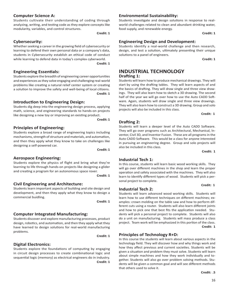# **Computer Science A:**

Students cultivate their understanding of coding through analyzing, writing, and testing code as they explore concepts like modularity, variables, and control structures.

**Credit: 1**

# **Cybersecurity:**

Whether seeking a career in the growing field of cybersecurity or learning to defend their own personal data or a company's data, students in Cybersecurity establish an ethical code of conduct while learning to defend data in today's complex cyberworld. **Credit: 1**

# **Engineering Essentials:**

Students explore the breadth of engineering career opportunities and experiences as they solve engaging and challenging real-world problems like creating a natural relief center system or creating a solution to improve the safety and well-being of local citizens. **Credit: 1** 

# **Introduction to Engineering Design:**

Students dig deep into the engineering design process, applying math, science, and engineering standards to hands-on projects like designing a new toy or improving an existing product. **Credit: 1**

# **Principles of Engineering:**

Students explore a broad range of engineering topics including mechanisms, strength of structure and materials, and automation, and then they apply what they know to take on challenges like designing a self-powered car.<br>**Credit: 1** 

# **Aerospace Engineering:**

Students explore the physics of flight and bring what they're learning to life through hands-on projects like designing a glider and creating a program for an autonomous space rover. **Credit: 1**

# **Civil Engineering and Architecture:**

Students learn important aspects of building and site design and development, and then they apply what they know to design a commercial buidling.<br>**Credit: 1** 

# **Computer Integrated Manufacturing:**

Students discover and explore manufacturing processes, product design, robotics, and automation, and then they apply what they have learned to design solutions for real-world manufacturing nare rearned to design solutions for real mond inantialectating<br>problems.<br>**Credit: 1** 

# **Digital Electronics:**

Students explore the foundations of computing by engaging in circuit design processes to create combinational logic and sequential logic (memory) as electrical engineers do in industry.  **Credit: 1**

# **Environmental Sustainability:**

Students investigate and design solutions in response to realworld challenges related to clean and abundant drinking water, food supply, and renewable energy. **Credit: 1**

# **Engineering Design and Development:**

Students identify a real-world challenge and then research, design, and test a solution, ultimately presenting their unique solutions to a panel of engineers. **Credit: 1**

# **INDUSTRIAL TECHNOLOGY Drafting 1:**

Students will learn how to produce mechanical drawings. They will start by using the drafting tables. They will learn aspects of and the basics of drafting. They will draw single and three view drawings. They will also learn how to sketch a 3D drawing. The second half of the year we will go over how to use the Auto CADD Software. Again, students will draw single and three view drawings. They will also learn how to construct a 3D drawing. Group and solo projects will also be included in this class.

**Credit: 1**

# **Drafting 2:**

Students will learn a deeper level of the Auto CADD Software. They will go over programs such as Architectural, Mechanical, lnventor, Civil 3D, and lnventor Fusion. These are all programs in the Auto CADD Software. This would be a class for anyone interested in pursuing an engineering degree. Group and solo projects will also be included in this class.

**Credit: 1**

# **Industrial Tech 1:**

In this course, students will learn basic wood working skills. They will go over different machines in the shop and learn the proper operation and safety associated with the machines. They will also learn to identify different types of wood. Students will pick a personal project to complete.

**Credit: 1**

# **Industrial Tech 2:**

Students will learn advanced wood working skills. Students will learn how to use different techniques on different machines; examples: crown molding on the table saw and how to perform different cuts using a router. Students will also learn different joints and how to pick one that best fits the application needed. Students will pick a personal project to complete. Students will also do a unit on manufacturing. Students will mass produce a class project. Team work will be emphasized in this portion of the class. **Credit: 1** 

# **Principles of Technology R+D:**

In this course the students will learn about various aspects in the technology field. They will discover how and why things work and how they affect previous and current societies. Students will be given a situation and problem they must solve. Students will learn about simple machines and how they work individually and together. Students will also go over problem solving methods. Students will be given a common goal and will see different methods that others used to solve it.

**Credit: .5**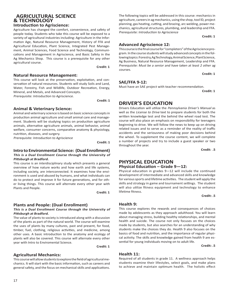# **AGRICULTURAL SCIENCE & TECHNOLOGY**

# **Introduction to Agriscience:**

Agriculture has changed the comfort, convenience, and safety of people today. Students who take this course will be exposed to a variety of agricultural industries including: Agriculture in the Information Age, Natural Resource Management, History of FFA and Agricultural Education, Plant Science, Integrated Pest Management, Animal Sciences, Food Science and Technology, Communications and Management in Agriscience, and Basic Safety in the Ag Mechanics Shop. This course is a prerequisite for any other agricultural course.

**Credit: 1** 

# **Natural Resource Management:**

This course will look at the preservation, exploitation, and conservation of natural resources. Students will study Soils and Land, Water, Forestry, Fish and Wildlife, Outdoor Recreation, Energy, Mineral, and Metals, and Advanced Concepts.

Prerequisite: Introduction to Agriscience.

**Credit: 1** 

# **Animal & Veterinary Science:**

Animal and veterinary science is based on basic science concepts in production animal agriculture and small animal care and management. Students will be studying topics on production agriculture animals, alternative agriculture animals, animal behavior, animal welfare, consumer concerns, comparative anatomy & physiology, nutrition, diseases, and surgery.

Prerequisite: Introduction to Agriscience

**Credit: 1**

# **Intro to Environmental Science: (Dual Enrollment) This is a Dual Enrollment Course through the University of Pittsburgh at Bradford.**

This course is an interdisciplinary study which presents a general overview of how nature works and how earth and life systems, including society, are interconnected. It examines how the environment is used and abused by humans, and what individuals can do to protect and improve it for future generations, and for other living things. This course will alternate every other year with Plants and People.

**Credit: 1**

# **Plants and People: (Dual Enrollment)**

### **This is a Dual Enrollment Course through the University of Pittsburgh at Bradford.**

The value of plants to society is introduced along with a discussion of the plants as part of the natural world. The course will examine the uses of plants by many cultures, past and present, for food, timber, fuel, clothing, religious activities, and medicine, among other uses. A basic introduction to the anatomy and ecology of plants will also be covered. This course will alternate every other year with Intro to Enviromental Science.

**Credit: 1**

# **Agricultural Mechanics:**

This course will allow students to explore the field of agricultural mechanics. lt will start with the basic information, such as careers and general safety, and the focus on mechanical skills and applications.

The following topics will be addressed in this course: mechanics in agriculture, careers in ag mechanics, using the shop, tool lD, project planning, gas heating, cutting, and brazing, arc welding, power mechanics, agricultural structures, plumbing, and leadership and FFA. Prerequisite: Introduction to Agriscience

**Credit: 1**

# **Advanced Agriscience 12:**

This course is the final course for "completers" of the Agriscience program. ln the course students will study advanced concepts in the following topics: Forestry, Ag Technology, Animal Science, Plant Science, Ag Business, Natural Resource Management, Leadership and FFA. Prerequisite: Must be a senior and have taken at least 2 other ag courses.

**Credit: 1**

# **SAE/FFA 9-12:**

Must have an SAE project with teacher recommendation.

**Credit: 1**

# **DRIVER'S EDUCATION**

Drivers Education will utilize the Pennsylvania Driver's Manual as well as the *License to Drive* text to prepare students for both the written knowledge test and the behind the wheel road test. The course will also place an emphasis on responsibility for teenagers beginning to drive. We will follow the news to keep up on driving related issues and to serve as a reminder of the reality of traffic accidents and the seriousness of making poor decisions behind the wheel. To supplement the course content, we will complete a number of projects and try to include a guest speaker or two throughout the year.

**Credit: .5**

# **PHYSICAL EDUCATION**

# **Physical Education – Grade 9—12:**

Physical education in grades 9—12 will include the continued development of intermediate and advanced skills and knowledge for various sports and lifetime activities. The student will apply the skills and strategy in game and tournament settings. The student will also utilize fitness equipment and technology to enhance lifetime fitness.

**Credit: .5**

# **Health 9:**

This course explores the rewards and consequences of choices made by adolescents as they approach adulthood. You will learn about managing stress, building healthy relationships, and mental health and suicide. The course not only focuses on the choices made by students, but also searches for an understanding of why students make the choices they do. Health 9 also focuses on the basics of food and nutrition, and the importance of regular physical activity. The skills and knowledge gained from health 9 are essential for young individuals moving on to adult life.

**Credit: .5**

# **Health 11:**

Required of all students in grade 11. A wellness approach helps students examine their lifestyles, select goals, and make plans to achieve and maintain optimum health. The holistic effect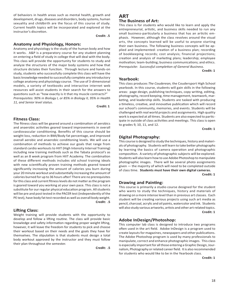of behaviors in health areas such as mental health, growth and development, drugs, diseases and disorders, body systems, human sexuality and childbirth are the focus of this course of study. Current health topics will be incorporated and explored at the instructor's discretion.

### **Credit: .5**

# **Anatomy and Physiology, Honors:**

Anatomy and physiology is the study of the human body and how it works. A&P is a preparatory course for any student planning on entering a field of study in college that will deal with the body. This class will provide the opportunity for students to study and analyze the structures of the major body systems and how that structure dictates their function. Through lecture and hands-on study, students who successfully complete this class will have the basic knowledge needed to successfully complete any introductory college anatomy and physiology course. The use of 3-dimensional models, a variety of textbooks and interactive internet web resources will assist students in their search for the answers to questions such as "how exactly is it that my muscle contracts?" *Prerequisites: 90% in Biology I, or 85% in Biology II, 95% in Health 11, and Senior level status.*

**Credit: 1** 

# **Fitness Class:**

The fitness class will be geared around a combination of aerobics and anaerobic activities geared toward improvements in overall cardiovascular conditioning. Benefits of this course should be weight loss, reduction in BMI/Body fat percentage, and improved overall aerobic and anaerobic conditioning levels. We will use a combination of methods to achieve our goals that range from standard cardio workouts to HIIT (High Intensity Interval Training) including new training methods such as the Tabata protocol's as well as an 8 week program from HIIT Academy. The combination of these different methods includes old school training ideals with new scientifically proven training methods geared toward significantly increasing the amount of calories you burn during your 20 minute workout and substantially increasing the amount of calories burned for up to 36 hours after! There are no prerequisites for this class and current fitness levels do not matter as the program is geared toward you working at your own pace. This class is not a substitute for our regular physical education program. All students will be pre and post tested in the PACER test (independently of the PE test), have body fat test recorded as well as overall body weight. **Credit: .5**

# **Lifting Class:**

Weight training will provide students with the opportunity to develop and follow a lifting routine. The class will provide basic knowledge and safety information regarding proper weight lifting, however, it will leave the freedom for students to pick and choose their workout based on their needs and the goals they have for themselves. The stipulation is that students must design a total body workout approved by the instructor and they must follow their plan throughout the semester.

**Credit: .5**

# **ART The Business of Art:**

This class is for students who would like to learn and apply the entrepreneurial, artistic, and business skills needed to run any small business-particularly a business that has an artictic emphasis. However, although the class revolves around the visual arts, the concepts learned will be useful to anyone starting their own business. The following business concepts will be applied and implemented: creation of a business plan; recording of bookkeeping records; cost analysis; financial projections; creation and analysis of marketing plans; leadership; employee motivation; team-building; business communications; and ethics. *Prerequisite: Successful completion of General Business.*

**Credit: 1**

### **Yearbook:**

This class produces *The Couderean,* the Coudersport High School yearbook. In this course, students will gain skills in the following areas: page design, publishing techniques, copy writing, editing, photography, record keeping, time management, teamwork, marketing, and leadership skills. Students are tasked with producing a timeless, creative, and innovative publication which will record our school's community, memories, and events. Students will be challenged with real world projects and assignments. High quality work is expected at all times. Students are also expected to participate in outside of class activities and meetings. This class is open to grades 9, 10, 11, and 12.

**Credit: 1**

# **Digital Photography:**

This course is designed to study the techniques, history and materials of photography. Students will learn to take better photographs by learning the basics of camera operation and photographic composition. A variety of photographic subjects will be explored. Students will also learn how to use Adobe Photoshop to manipulate photographic images. There will be several photo assignments given — the majority of which will need to be completed outside of class time. **Students must have their own digital cameras.**

**Credit: 1**

# **Drawing and Painting:**

This course is primarily a studio course designed for the student who wants to study the techniques, history and materials of drawing on a more intense level than in previous art classes. Each student will be creating various projects using such art media as pencil, charcoal, acrylic and oil paints, watercolor and ink. Students will also study various artworks, artists and other art-related topics. **Credit: 1**

# **Adobe InDesign/Photoshop:**

This computer lab class is designed to introduce two programs often used in the art field. Adobe InDesign is a program used to create layouts for magazines, newspapers and other publications. The Adobe Photoshop program is used by many professionals to manipulate, correct and enhance photographic images. This class is especially important for all those entering a Graphic Design, Journalism, Photography or related career field. It is also recommended for students who would like to be in the Yearbook class.

**Credit: 1**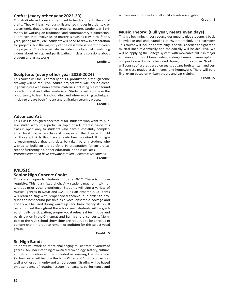# **Crafts: (every other year 2022-23)**

This studio-based course is designed to teach students the art of crafts. They will learn various skills and techniques in order to create artworks that are of a more practical nature. Students will primarily be working on traditional and contemporary 3-dimensional projects that involve using materials such as clay, tiles, fabric, yarn, paper, metal, etc. Students will need to draw in preparation for projects, but the majority of the class time is spent on creating projects. The class will also include visits by artists, watching videos about artists, and participating in class discussions about student and artist works.

**Credit: 1**

# **Sculpture: (every other year 2023-2024)**

This course will focus primarily on 3-D production, although some drawing will be required. Studio project work will include creating sculptures with non-ceramic materials including plaster, found objects, metal and other materials. Students will also have the opportunity to learn hand-building and wheel working techniques in clay to create both fine art and utilitarian ceramic pieces.

**Credit: 1**

# **Advanced Art:**

This class is designed specifically for students who want to pursue studio work in a particular topic of art interest. Since this class is open only to students who have successfully completed at least two art electives, it is expected that they will build on those art skills that have already been acquired. lt is highly recommended that this class be taken by any student who wishes to build an art portfolio in preparation for an art career or furthering his or her education in the visual arts. Prerequisite: Must have previously taken 2 elective art courses

**Credit: 1** 

# **MUSIC Senior High Concert Choir:**

This class is open to students in grades 9-12. There is no prerequisite. This is a mixed choir. Any student may join, with or without prior vocal experience. Students will sing a variety of musical genres in S.A.B and S.A.T.B as an ensemble. Students will learn to sing with proper vocal technique in order to produce the best sound possible as a vocal ensemble. Solfege and Kodaly will be used during warm ups and basic theory skills will be reinforced throughout the school year, students will be graded on daily participation, proper vocal rehearsal technique and participation in the Christmas and Spring choral concerts. Members of the high school show choir are required to be enrolled in concert choir in order to remain or audition for this select vocal group.

**Credit: .5**

# **Sr. High Band:**

Students will work on more challenging music from a variety of genres. An understanding of musical terminology, history, culture, and its application will be included in learning the literature. Performances will include the Mid-Winter and Spring concerts as well as other community and school events. Grading will be based on attendance of rotating lessons, rehearsals, performance and

written work. Students of all ability levels are eligible.

# **Music Theory: (Full year, meets even days)**

This is a beginning theory course designed to give students a basic knowledge and understanding of rhythm, melody and harmony. This course will include ear training,; the skills needed to sight read musical lines rhythmically and melodically will be acquired. We will be applying the Solfege system with moveable "DO" in major and minor modes. A basic understanding of music manuscript and composition will also be included throughout the course. Grading will consist of scores based on tests, quizzes both written and verbal, in-class graded assignments, and homework. There will be a final exam based on written theory and ear training.

**Credit: .5**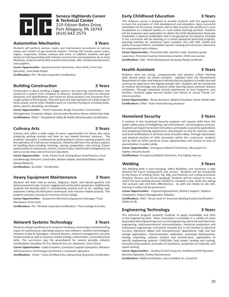

# **Seneca Highlands Career & Technical Center** 219 Edison Bates Drive, Port Allegany, PA 16743 (814) 642-2573

# **Automotive Mechanics 3 Years**

Students will perform service, repair, and maintenance procedures on various makes and models of gas powered engines. Training will include power trains, engine, suspension, brakes, exhaust and more. In addition students will gain hands-on training working with industry current tools and equipment. As an Auto Mechanic, students will be able to work in auto shops, after market manufacturers, and suppliers.

**Career Opportunities -** General Service Technician, Parts Clerk, Front End Specialist , Auto Body Repair

**Certifications**- PSI ~ PA State Inspection Certification

# **Building Construction 3 Years**

Construction is about building a bigger picture: the planning, coordination, and control of a project from inception to delivery. Students will learn to interpret blueprints and specifications, and construct wood products and structures from rough lumber to finish grade. They will learn the safe operation of a wide range of hand, power, and air tools. Students work on a variety of projects including sheds, decks, electric, plumbing, and drywall.

**Career Opportunities -** Finish Carpenter, Rough Carpenter, Construction

Management, Carpenter Helper, Construction Business Owner ,Electrician Help **Certifications**- OSHA ~ Ocupational Safety & Health Administration Certification

# **Culinary Arts 3 Years**

Culinary Arts offers a wide range of career opportunities for those who enjoy preparing exciting cuisines and have an eye toward business ventures. The students' education is enhanced by participating in various catering projects and the operation of a full-service restaurant. Students will learn the sanitary aspects of handling food including receiving, storing, preparation, and serving. Career opportunities in restaurants, resorts, country clubs, hotel/motel management; as well as cruise ships and airlines are abundant.

**Career Opportunities -** Cook, Pastry Cook ,Dining Room Host/Hostess, Food and Beverage Directors , Food Sales , Kitchen Helper, Nutrition/Dietary Aide, Waiter/Waitress

**Certifications**- ServSafe ~ Certification

# **Heavy Equipment Maintenance 3 Years**

Students will learn how to service, diagnose, repair, and rebuild gasoline and diesel powered trucks, tractors, logging and construction equipment. Additionally, students will develop skills in metalworking practice such as arc- welding, oxy/ acetylene cutting and fabrication techniques with industry-related projects. This program provides training on Cummins virtual college.

**Career Opportunities -** Equipment Mechanics,Equipment Manager, Truck Mechanics, Parts Clerk

**Certifications**- PSI ~ PA State Inspection Certification ~ Penn College 4 Credits

# **Network Systems Technology 3 Years**

Students will gain proficiency in computer hardware, technology troubleshooting repair & maintenance, operating systems and software, network technologies, network media & topologies, network devices, network management, security fundamentals as well as industry related writing, mathematics, and professional skills. The curriculum lays the groundwork for several possible industry certifications including: PC Pro, Network Pro, A+, Network+, Cisco CCent.

**Career Opportunities -** Cable Installers, Computer Support Specialists, Network Administrators, Technology Coordinators, Computer Operators

**Certifications**- CCent ~ Cisco Certified Entry, Networking Technician Certification

# **Early Childhood Education 3 Years**

This childcare course is designed to provide students with the opportunity to learn the principles of child development and education. Upon successful completion of the course, students will be able to enter the workforce in such occupations as a daycare worker, or a pre-school teaching assistant. Students will be prepared upon graduation to obtain the Child Development Associate Credential; a national certification that is recognized by the industry. Included in the curriculum will be teaching in a school sponsored preschool program, planning activities for preschool, basic nutrition, first aid/ CPR, health and safety of young children, mandated reporter training and necessary clearances for employment with children.

**Career Opportunities -** Preschool aide ,Teacher's aide ,Assistant group supervisor, Preschool teacher, Elementary teacher ,Child care worker **Certifications**- CDA ~Child Development Associate Ready Certificate

# **Health Assistant 3 Years**

Students who are caring, compassionate and possess critical thinking skills should check out Heath Assistant. Statistics from the Pennsylvania Department of Labor and Industry indicate that occupations in health care will continue to experience the highest growth rate. Students will be introduced to medical terminology and anatomy while learning about common disease conditions. Through scheduled clinical experiences at local long-term care facilities, students apply learned health care theory to actual "hands on" clinical practice.

**Career Opportunities -** Nurse Assistant, Medical Assistant, Home Health Aide **Certifications**- STNA ~ State Tested Nursing Assistant

# **Homeland Security 3 Years**

A student in the Homeland Security program will acquire skills from the public safety areas of firefighting, law enforcement, and emergency services. Students can expect to receive instruction; participate in practical applications and situational learning experiences; and prepare to test for national, state, and local certifications in all three areas of public safety. Through exploration and physical practice of skills presented within the curriculum, students will be able to refine personal career opportunities and choose an area of specialization in public safety.

**Career Opportunities -** Emergency Medical Technician, Municipal Fire Fighter, Security Guard

**Certifications**- Emergency Medical Technician, Fire Fighter, Rescue

# **Welding 3 Years**

#### The Welding field is ever-changing, offers flexibility, and maintains a high demand for future employment and careers. Students will be introduced to the basics of welding (Stick, Tig, Mig, and Oxyfuel) and cutting processes (Oxyfuel, Plasma, and Air-Arc gouging). Students will be trained on how to select the best welding process needed to complete a job, while also taking into account cost and time effectiveness. As with any hands on job skill, training in safety will be paramount.

**Career Opportunities -** EngineeringInspection, Military Support ,Pipeline Installation, Project Management, Robotics

**Certifications**- AWS ~ Sense Level 1• American Welding Society Certification~ OSHA 10 HR.

# **Engineering Technology 3 Years**

This technical program prepares students to apply knowledge and skills in the engineering field. Basic instruction is provided in a variety of areas associated with engineering such as civil engineering, electrical and electronic engineering, electromechanical instrumentation, industrial production and mechanical engineering. Instruction includes but is not limited to electrical circuitry, electronic digital and microprocessor applications, high and low voltage applications, instrumentation calibration, prototype development, testing, inspecting, systems analysis and maintenance, applications to specific engineering systems, CAD/CAM, fluid power, heating and cooling, manufacturing systems, principles of mechanics, properties of materials, and report writing.

**Career Opportunities -** Quality Control Inspector, Draftsman/CAD Operator, Machine Operator, Facility Maintenance

**Certifications**- NIMS Certification, Cisco Certified ,A+ ,CompTIA.